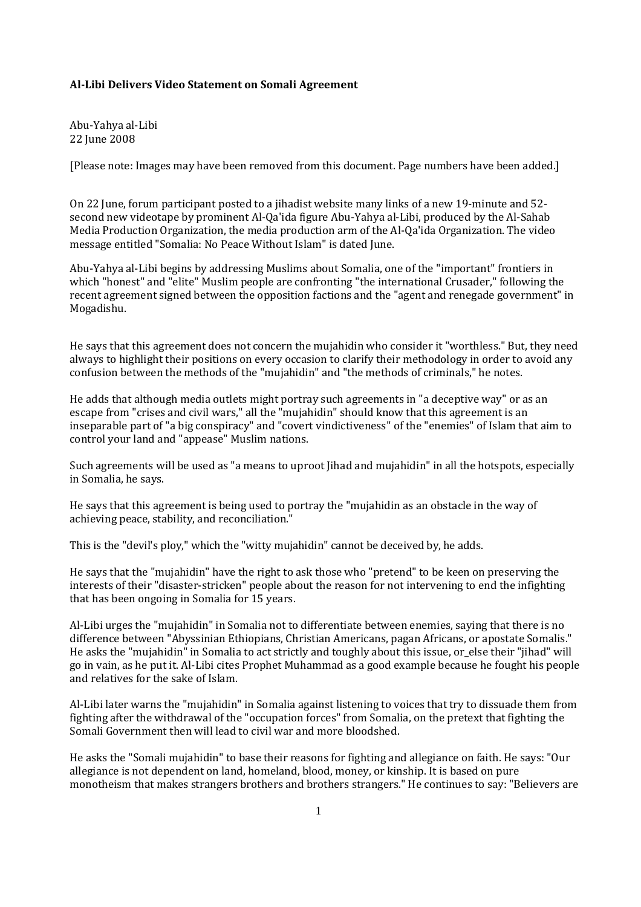## **Al-Libi Delivers Video Statement on Somali Agreement**

Abu-Yahya al-Libi 22 June 2008

[Please note: Images may have been removed from this document. Page numbers have been added.]

On 22 June, forum participant posted to a jihadist website many links of a new 19-minute and 52 second new videotape by prominent Al-Qa'ida figure Abu-Yahya al-Libi, produced by the Al-Sahab Media Production Organization, the media production arm of the Al-Qa'ida Organization. The video message entitled "Somalia: No Peace Without Islam" is dated June.

Abu-Yahya al-Libi begins by addressing Muslims about Somalia, one of the "important" frontiers in which "honest" and "elite" Muslim people are confronting "the international Crusader," following the recent agreement signed between the opposition factions and the "agent and renegade government" in Mogadishu.

He says that this agreement does not concern the mujahidin who consider it "worthless." But, they need always to highlight their positions on every occasion to clarify their methodology in order to avoid any confusion between the methods of the "mujahidin" and "the methods of criminals," he notes.

He adds that although media outlets might portray such agreements in "a deceptive way" or as an escape from "crises and civil wars," all the "mujahidin" should know that this agreement is an inseparable part of "a big conspiracy" and "covert vindictiveness" of the "enemies" of Islam that aim to control your land and "appease" Muslim nations.

Such agreements will be used as "a means to uproot Jihad and mujahidin" in all the hotspots, especially in Somalia, he says.

He says that this agreement is being used to portray the "mujahidin as an obstacle in the way of achieving peace, stability, and reconciliation."

This is the "devil's ploy," which the "witty mujahidin" cannot be deceived by, he adds.

He says that the "mujahidin" have the right to ask those who "pretend" to be keen on preserving the interests of their "disaster-stricken" people about the reason for not intervening to end the infighting that has been ongoing in Somalia for 15 years.

Al-Libi urges the "mujahidin" in Somalia not to differentiate between enemies, saying that there is no difference between "Abyssinian Ethiopians, Christian Americans, pagan Africans, or apostate Somalis." He asks the "mujahidin" in Somalia to act strictly and toughly about this issue, or\_else their "jihad" will go in vain, as he put it. Al-Libi cites Prophet Muhammad as a good example because he fought his people and relatives for the sake of Islam.

Al-Libi later warns the "mujahidin" in Somalia against listening to voices that try to dissuade them from fighting after the withdrawal of the "occupation forces" from Somalia, on the pretext that fighting the Somali Government then will lead to civil war and more bloodshed.

He asks the "Somali mujahidin" to base their reasons for fighting and allegiance on faith. He says: "Our allegiance is not dependent on land, homeland, blood, money, or kinship. It is based on pure monotheism that makes strangers brothers and brothers strangers." He continues to say: "Believers are